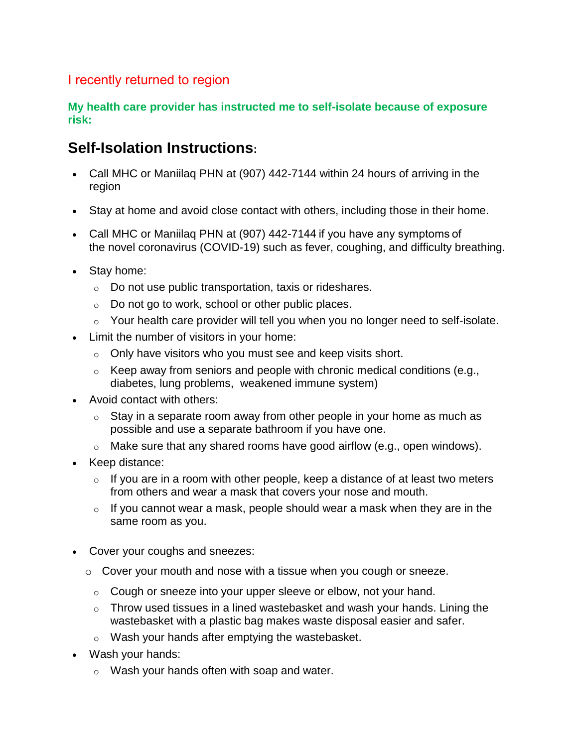## I recently returned to region

#### **My health care provider has instructed me to self-isolate because of exposure risk:**

# **Self-Isolation Instructions:**

- Call MHC or Maniilaq PHN at (907) 442-7144 within 24 hours of arriving in the region
- Stay at home and avoid close contact with others, including those in their home.
- Call MHC or Maniilaq PHN at (907) 442-7144 if you have any symptoms of the novel coronavirus (COVID-19) such as fever, coughing, and difficulty breathing.
- Stay home:
	- o Do not use public transportation, taxis or rideshares.
	- $\circ$  Do not go to work, school or other public places.
	- o Your health care provider will tell you when you no longer need to self-isolate.
- Limit the number of visitors in your home:
	- o Only have visitors who you must see and keep visits short.
	- $\circ$  Keep away from seniors and people with chronic medical conditions (e.g., diabetes, lung problems, weakened immune system)
- Avoid contact with others:
	- $\circ$  Stay in a separate room away from other people in your home as much as possible and use a separate bathroom if you have one.
	- o Make sure that any shared rooms have good airflow (e.g., open windows).
- Keep distance:
	- $\circ$  If you are in a room with other people, keep a distance of at least two meters from others and wear a mask that covers your nose and mouth.
	- $\circ$  If you cannot wear a mask, people should wear a mask when they are in the same room as you[.](file:///C:/Users/gouletmi/AppData/Local/Microsoft/Windows/INetCache/Content.Outlook/9PK1FE7X/Self%20Isolation%20Web%20content.docx%23_msocom_1)
- Cover your coughs and sneezes:
	- o Cover your mouth and nose with a tissue when you cough or sneeze.
		- o Cough or sneeze into your upper sleeve or elbow, not your hand.
		- $\circ$  Throw used tissues in a lined wastebasket and wash your hands. Lining the wastebasket with a plastic bag makes waste disposal easier and safer.
		- o Wash your hands after emptying the wastebasket.
- Wash your hands:
	- o Wash your hands often with soap and water.